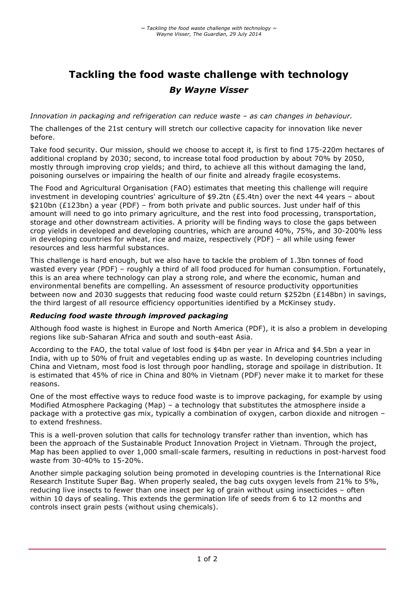# **Tackling the food waste challenge with technology** *By Wayne Visser*

*Innovation in packaging and refrigeration can reduce waste – as can changes in behaviour.*

The challenges of the 21st century will stretch our collective capacity for innovation like never before.

Take food security. Our mission, should we choose to accept it, is first to find 175-220m hectares of additional cropland by 2030; second, to increase total food production by about 70% by 2050, mostly through improving crop yields; and third, to achieve all this without damaging the land, poisoning ourselves or impairing the health of our finite and already fragile ecosystems.

The Food and Agricultural Organisation (FAO) estimates that meeting this challenge will require investment in developing countries' agriculture of \$9.2tn (£5.4tn) over the next 44 years - about \$210bn (£123bn) a year (PDF) – from both private and public sources. Just under half of this amount will need to go into primary agriculture, and the rest into food processing, transportation, storage and other downstream activities. A priority will be finding ways to close the gaps between crop yields in developed and developing countries, which are around 40%, 75%, and 30-200% less in developing countries for wheat, rice and maize, respectively (PDF) – all while using fewer resources and less harmful substances.

This challenge is hard enough, but we also have to tackle the problem of 1.3bn tonnes of food wasted every year (PDF) – roughly a third of all food produced for human consumption. Fortunately, this is an area where technology can play a strong role, and where the economic, human and environmental benefits are compelling. An assessment of resource productivity opportunities between now and 2030 suggests that reducing food waste could return \$252bn (£148bn) in savings, the third largest of all resource efficiency opportunities identified by a McKinsey study.

### *Reducing food waste through improved packaging*

Although food waste is highest in Europe and North America (PDF), it is also a problem in developing regions like sub-Saharan Africa and south and south-east Asia.

According to the FAO, the total value of lost food is \$4bn per year in Africa and \$4.5bn a year in India, with up to 50% of fruit and vegetables ending up as waste. In developing countries including China and Vietnam, most food is lost through poor handling, storage and spoilage in distribution. It is estimated that 45% of rice in China and 80% in Vietnam (PDF) never make it to market for these reasons.

One of the most effective ways to reduce food waste is to improve packaging, for example by using Modified Atmosphere Packaging (Map) – a technology that substitutes the atmosphere inside a package with a protective gas mix, typically a combination of oxygen, carbon dioxide and nitrogen – to extend freshness.

This is a well-proven solution that calls for technology transfer rather than invention, which has been the approach of the Sustainable Product Innovation Project in Vietnam. Through the project, Map has been applied to over 1,000 small-scale farmers, resulting in reductions in post-harvest food waste from 30-40% to 15-20%.

Another simple packaging solution being promoted in developing countries is the International Rice Research Institute Super Bag. When properly sealed, the bag cuts oxygen levels from 21% to 5%, reducing live insects to fewer than one insect per kg of grain without using insecticides – often within 10 days of sealing. This extends the germination life of seeds from 6 to 12 months and controls insect grain pests (without using chemicals).